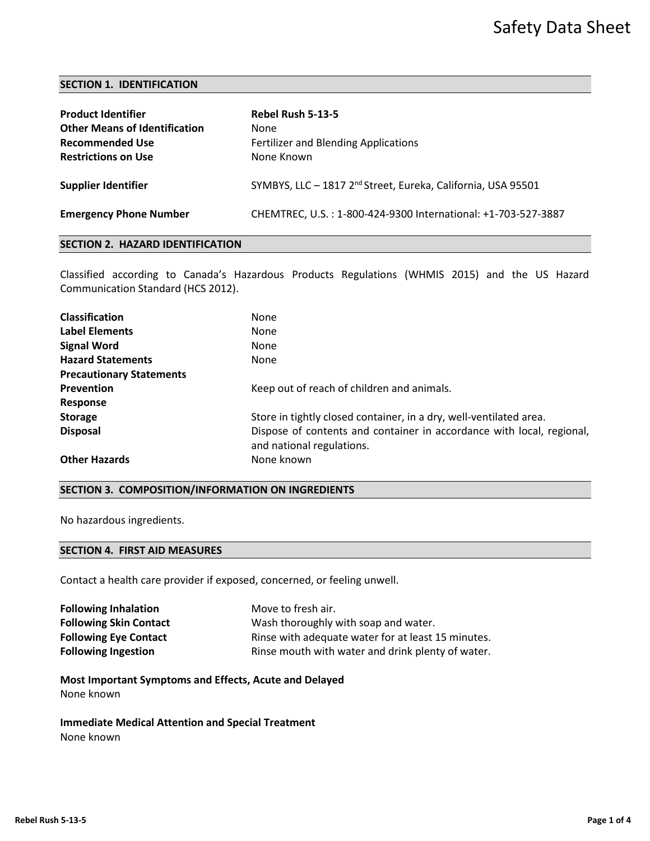## **SECTION 1. IDENTIFICATION**

| <b>Product Identifier</b><br><b>Other Means of Identification</b><br><b>Recommended Use</b><br><b>Restrictions on Use</b> | Rebel Rush 5-13-5<br><b>None</b><br><b>Fertilizer and Blending Applications</b><br>None Known |
|---------------------------------------------------------------------------------------------------------------------------|-----------------------------------------------------------------------------------------------|
| <b>Supplier Identifier</b>                                                                                                | SYMBYS, LLC - 1817 2 <sup>nd</sup> Street, Eureka, California, USA 95501                      |
| <b>Emergency Phone Number</b>                                                                                             | CHEMTREC, U.S.: 1-800-424-9300 International: +1-703-527-3887                                 |

# **SECTION 2. HAZARD IDENTIFICATION**

Classified according to Canada's Hazardous Products Regulations (WHMIS 2015) and the US Hazard Communication Standard (HCS 2012).

| <b>Classification</b>           | <b>None</b>                                                                                        |
|---------------------------------|----------------------------------------------------------------------------------------------------|
| Label Elements                  | <b>None</b>                                                                                        |
| <b>Signal Word</b>              | <b>None</b>                                                                                        |
| <b>Hazard Statements</b>        | <b>None</b>                                                                                        |
| <b>Precautionary Statements</b> |                                                                                                    |
| <b>Prevention</b>               | Keep out of reach of children and animals.                                                         |
| Response                        |                                                                                                    |
| <b>Storage</b>                  | Store in tightly closed container, in a dry, well-ventilated area.                                 |
| <b>Disposal</b>                 | Dispose of contents and container in accordance with local, regional,<br>and national regulations. |
| <b>Other Hazards</b>            | None known                                                                                         |

# **SECTION 3. COMPOSITION/INFORMATION ON INGREDIENTS**

No hazardous ingredients.

# **SECTION 4. FIRST AID MEASURES**

Contact a health care provider if exposed, concerned, or feeling unwell.

| <b>Following Inhalation</b>   | Move to fresh air.                                 |
|-------------------------------|----------------------------------------------------|
| <b>Following Skin Contact</b> | Wash thoroughly with soap and water.               |
| <b>Following Eye Contact</b>  | Rinse with adequate water for at least 15 minutes. |
| <b>Following Ingestion</b>    | Rinse mouth with water and drink plenty of water.  |

**Most Important Symptoms and Effects, Acute and Delayed** None known

**Immediate Medical Attention and Special Treatment** None known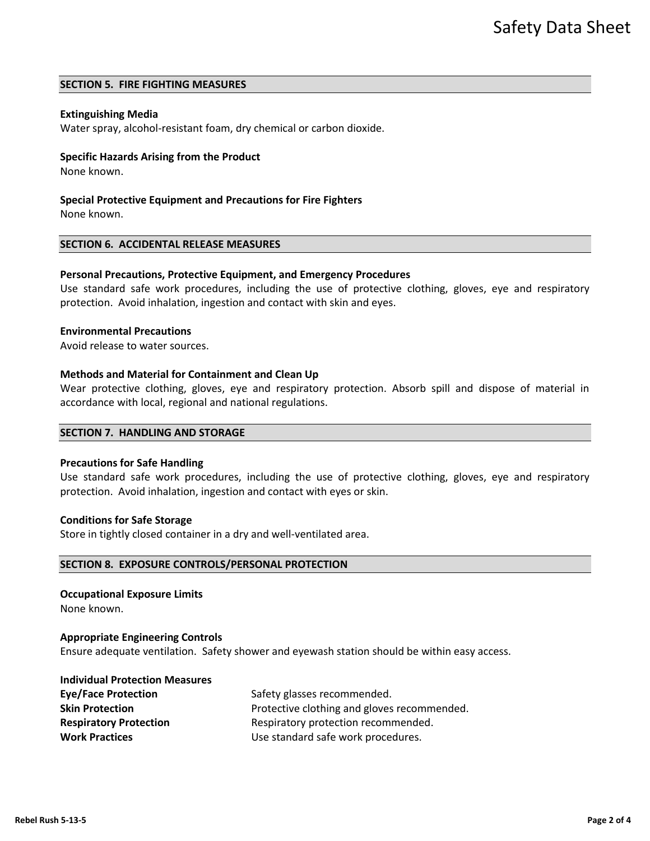## **SECTION 5. FIRE FIGHTING MEASURES**

## **Extinguishing Media**

Water spray, alcohol-resistant foam, dry chemical or carbon dioxide.

## **Specific Hazards Arising from the Product**

None known.

**Special Protective Equipment and Precautions for Fire Fighters**

None known.

#### **SECTION 6. ACCIDENTAL RELEASE MEASURES**

## **Personal Precautions, Protective Equipment, and Emergency Procedures**

Use standard safe work procedures, including the use of protective clothing, gloves, eye and respiratory protection. Avoid inhalation, ingestion and contact with skin and eyes.

#### **Environmental Precautions**

Avoid release to water sources.

#### **Methods and Material for Containment and Clean Up**

Wear protective clothing, gloves, eye and respiratory protection. Absorb spill and dispose of material in accordance with local, regional and national regulations.

# **SECTION 7. HANDLING AND STORAGE**

## **Precautions for Safe Handling**

Use standard safe work procedures, including the use of protective clothing, gloves, eye and respiratory protection. Avoid inhalation, ingestion and contact with eyes or skin.

#### **Conditions for Safe Storage**

Store in tightly closed container in a dry and well-ventilated area.

#### **SECTION 8. EXPOSURE CONTROLS/PERSONAL PROTECTION**

## **Occupational Exposure Limits**

None known.

#### **Appropriate Engineering Controls**

Ensure adequate ventilation. Safety shower and eyewash station should be within easy access.

#### **Individual Protection Measures**

| <b>Eye/Face Protection</b>    | Safety glasses recommended.                 |  |
|-------------------------------|---------------------------------------------|--|
| <b>Skin Protection</b>        | Protective clothing and gloves recommended. |  |
| <b>Respiratory Protection</b> | Respiratory protection recommended.         |  |
| <b>Work Practices</b>         | Use standard safe work procedures.          |  |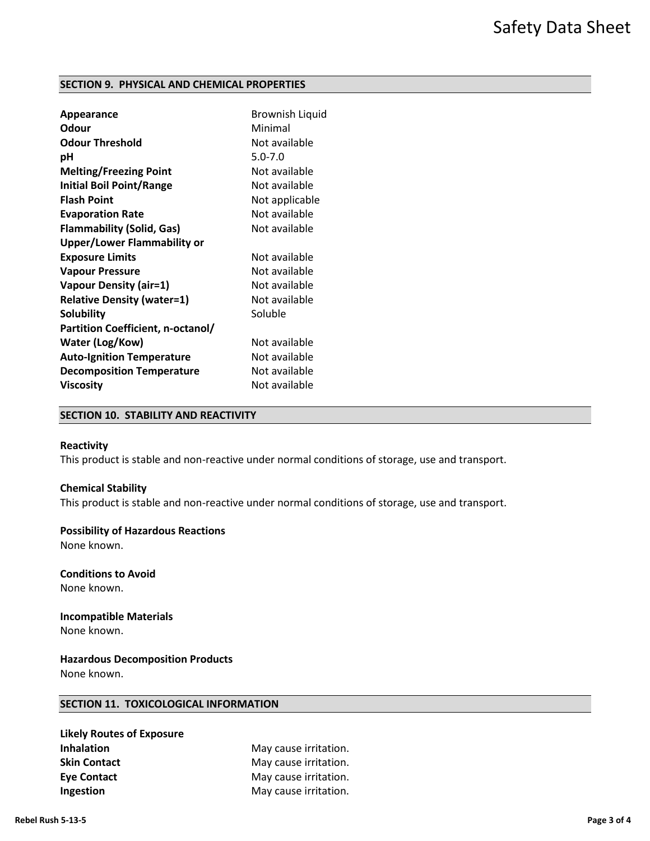## **SECTION 9. PHYSICAL AND CHEMICAL PROPERTIES**

| <b>Appearance</b>                  | <b>Brownish Liquid</b> |
|------------------------------------|------------------------|
| Odour                              | Minimal                |
| <b>Odour Threshold</b>             | Not available          |
| рH                                 | $5.0 - 7.0$            |
| <b>Melting/Freezing Point</b>      | Not available          |
| <b>Initial Boil Point/Range</b>    | Not available          |
| <b>Flash Point</b>                 | Not applicable         |
| <b>Evaporation Rate</b>            | Not available          |
| <b>Flammability (Solid, Gas)</b>   | Not available          |
| <b>Upper/Lower Flammability or</b> |                        |
| <b>Exposure Limits</b>             | Not available          |
| <b>Vapour Pressure</b>             | Not available          |
| <b>Vapour Density (air=1)</b>      | Not available          |
| <b>Relative Density (water=1)</b>  | Not available          |
| <b>Solubility</b>                  | Soluble                |
| Partition Coefficient, n-octanol/  |                        |
| Water (Log/Kow)                    | Not available          |
| <b>Auto-Ignition Temperature</b>   | Not available          |
| <b>Decomposition Temperature</b>   | Not available          |
| <b>Viscosity</b>                   | Not available          |
|                                    |                        |

# **SECTION 10. STABILITY AND REACTIVITY**

#### **Reactivity**

This product is stable and non-reactive under normal conditions of storage, use and transport.

## **Chemical Stability**

This product is stable and non-reactive under normal conditions of storage, use and transport.

## **Possibility of Hazardous Reactions**

None known.

**Conditions to Avoid** None known.

**Incompatible Materials** None known.

**Hazardous Decomposition Products** None known.

# **SECTION 11. TOXICOLOGICAL INFORMATION**

| <b>Likely Routes of Exposure</b> |
|----------------------------------|
| <b>Inhalation</b>                |
| <b>Skin Contact</b>              |
| <b>Eve Contact</b>               |
| Ingestion                        |

**May cause irritation.** May cause irritation. **May cause irritation. Ingestion** May cause irritation.